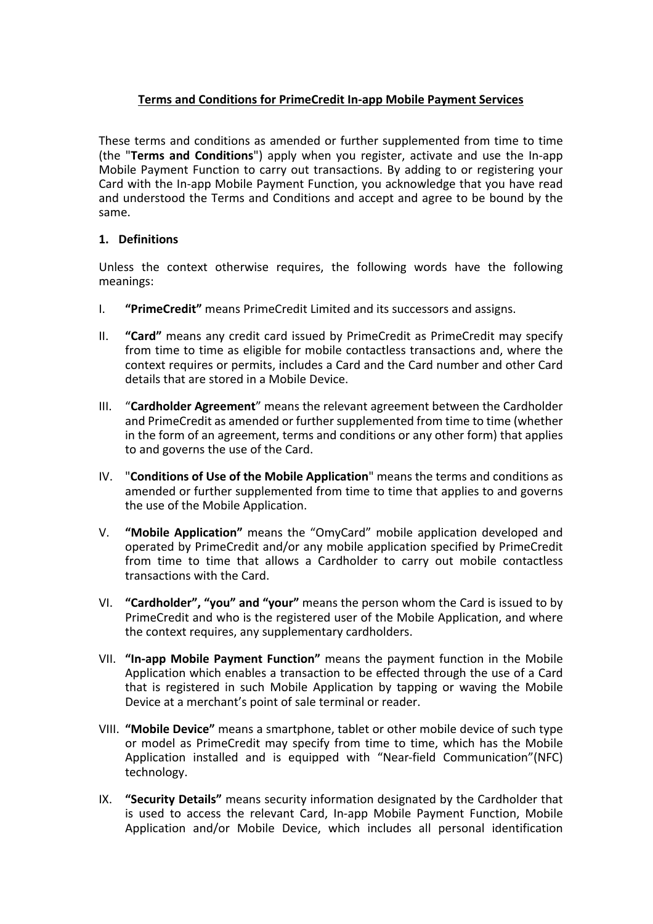# **Terms and Conditions for PrimeCredit In-app Mobile Payment Services**

These terms and conditions as amended or further supplemented from time to time (the "**Terms and Conditions**") apply when you register, activate and use the In-app Mobile Payment Function to carry out transactions. By adding to or registering your Card with the In-app Mobile Payment Function, you acknowledge that you have read and understood the Terms and Conditions and accept and agree to be bound by the same.

## **1. Definitions**

Unless the context otherwise requires, the following words have the following meanings:

- I. **"PrimeCredit"** means PrimeCredit Limited and its successors and assigns.
- II. **"Card"** means any credit card issued by PrimeCredit as PrimeCredit may specify from time to time as eligible for mobile contactless transactions and, where the context requires or permits, includes a Card and the Card number and other Card details that are stored in a Mobile Device.
- III. "**Cardholder Agreement**" means the relevant agreement between the Cardholder and PrimeCredit as amended or further supplemented from time to time (whether in the form of an agreement, terms and conditions or any other form) that applies to and governs the use of the Card.
- IV. "**Conditions of Use of the Mobile Application**" means the terms and conditions as amended or further supplemented from time to time that applies to and governs the use of the Mobile Application.
- V. **"Mobile Application"** means the "OmyCard" mobile application developed and operated by PrimeCredit and/or any mobile application specified by PrimeCredit from time to time that allows a Cardholder to carry out mobile contactless transactions with the Card.
- VI. **"Cardholder", "you" and "your"** means the person whom the Card is issued to by PrimeCredit and who is the registered user of the Mobile Application, and where the context requires, any supplementary cardholders.
- VII. **"In-app Mobile Payment Function"** means the payment function in the Mobile Application which enables a transaction to be effected through the use of a Card that is registered in such Mobile Application by tapping or waving the Mobile Device at a merchant's point of sale terminal or reader.
- VIII. **"Mobile Device"** means a smartphone, tablet or other mobile device of such type or model as PrimeCredit may specify from time to time, which has the Mobile Application installed and is equipped with "Near-field Communication"(NFC) technology.
- IX. **"Security Details"** means security information designated by the Cardholder that is used to access the relevant Card, In-app Mobile Payment Function, Mobile Application and/or Mobile Device, which includes all personal identification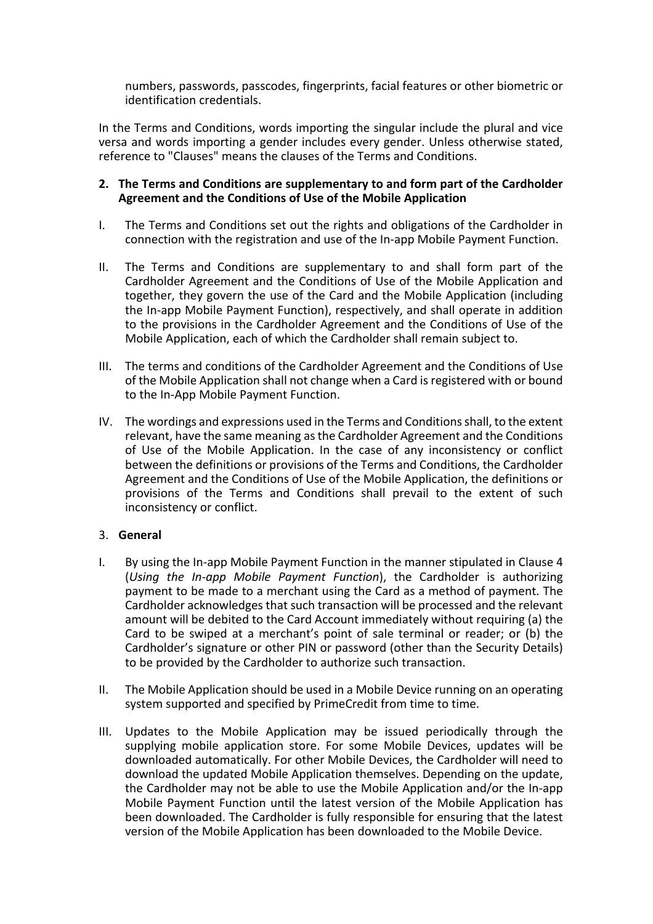numbers, passwords, passcodes, fingerprints, facial features or other biometric or identification credentials.

In the Terms and Conditions, words importing the singular include the plural and vice versa and words importing a gender includes every gender. Unless otherwise stated, reference to "Clauses" means the clauses of the Terms and Conditions.

### **2. The Terms and Conditions are supplementary to and form part of the Cardholder Agreement and the Conditions of Use of the Mobile Application**

- I. The Terms and Conditions set out the rights and obligations of the Cardholder in connection with the registration and use of the In-app Mobile Payment Function.
- II. The Terms and Conditions are supplementary to and shall form part of the Cardholder Agreement and the Conditions of Use of the Mobile Application and together, they govern the use of the Card and the Mobile Application (including the In-app Mobile Payment Function), respectively, and shall operate in addition to the provisions in the Cardholder Agreement and the Conditions of Use of the Mobile Application, each of which the Cardholder shall remain subject to.
- III. The terms and conditions of the Cardholder Agreement and the Conditions of Use of the Mobile Application shall not change when a Card is registered with or bound to the In-App Mobile Payment Function.
- IV. The wordings and expressions used in the Terms and Conditionsshall, to the extent relevant, have the same meaning as the Cardholder Agreement and the Conditions of Use of the Mobile Application. In the case of any inconsistency or conflict between the definitions or provisions of the Terms and Conditions, the Cardholder Agreement and the Conditions of Use of the Mobile Application, the definitions or provisions of the Terms and Conditions shall prevail to the extent of such inconsistency or conflict.

## 3. **General**

- I. By using the In-app Mobile Payment Function in the manner stipulated in Clause 4 (*Using the In-app Mobile Payment Function*), the Cardholder is authorizing payment to be made to a merchant using the Card as a method of payment. The Cardholder acknowledges that such transaction will be processed and the relevant amount will be debited to the Card Account immediately without requiring (a) the Card to be swiped at a merchant's point of sale terminal or reader; or (b) the Cardholder's signature or other PIN or password (other than the Security Details) to be provided by the Cardholder to authorize such transaction.
- II. The Mobile Application should be used in a Mobile Device running on an operating system supported and specified by PrimeCredit from time to time.
- III. Updates to the Mobile Application may be issued periodically through the supplying mobile application store. For some Mobile Devices, updates will be downloaded automatically. For other Mobile Devices, the Cardholder will need to download the updated Mobile Application themselves. Depending on the update, the Cardholder may not be able to use the Mobile Application and/or the In-app Mobile Payment Function until the latest version of the Mobile Application has been downloaded. The Cardholder is fully responsible for ensuring that the latest version of the Mobile Application has been downloaded to the Mobile Device.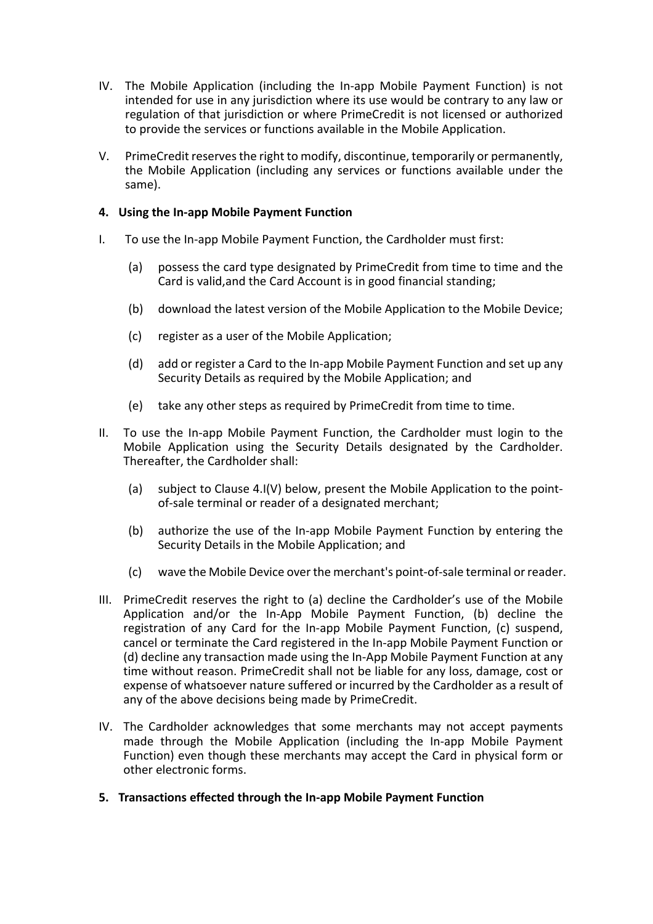- IV. The Mobile Application (including the In-app Mobile Payment Function) is not intended for use in any jurisdiction where its use would be contrary to any law or regulation of that jurisdiction or where PrimeCredit is not licensed or authorized to provide the services or functions available in the Mobile Application.
- V. PrimeCredit reserves the right to modify, discontinue, temporarily or permanently, the Mobile Application (including any services or functions available under the same).

## **4. Using the In-app Mobile Payment Function**

- I. To use the In-app Mobile Payment Function, the Cardholder must first:
	- (a) possess the card type designated by PrimeCredit from time to time and the Card is valid,and the Card Account is in good financial standing;
	- (b) download the latest version of the Mobile Application to the Mobile Device;
	- (c) register as a user of the Mobile Application;
	- (d) add or register a Card to the In-app Mobile Payment Function and set up any Security Details as required by the Mobile Application; and
	- (e) take any other steps as required by PrimeCredit from time to time.
- II. To use the In-app Mobile Payment Function, the Cardholder must login to the Mobile Application using the Security Details designated by the Cardholder. Thereafter, the Cardholder shall:
	- (a) subject to Clause 4.I(V) below, present the Mobile Application to the pointof-sale terminal or reader of a designated merchant;
	- (b) authorize the use of the In-app Mobile Payment Function by entering the Security Details in the Mobile Application; and
	- (c) wave the Mobile Device over the merchant's point-of-sale terminal or reader.
- III. PrimeCredit reserves the right to (a) decline the Cardholder's use of the Mobile Application and/or the In-App Mobile Payment Function, (b) decline the registration of any Card for the In-app Mobile Payment Function, (c) suspend, cancel or terminate the Card registered in the In-app Mobile Payment Function or (d) decline any transaction made using the In-App Mobile Payment Function at any time without reason. PrimeCredit shall not be liable for any loss, damage, cost or expense of whatsoever nature suffered or incurred by the Cardholder as a result of any of the above decisions being made by PrimeCredit.
- IV. The Cardholder acknowledges that some merchants may not accept payments made through the Mobile Application (including the In-app Mobile Payment Function) even though these merchants may accept the Card in physical form or other electronic forms.
- **5. Transactions effected through the In-app Mobile Payment Function**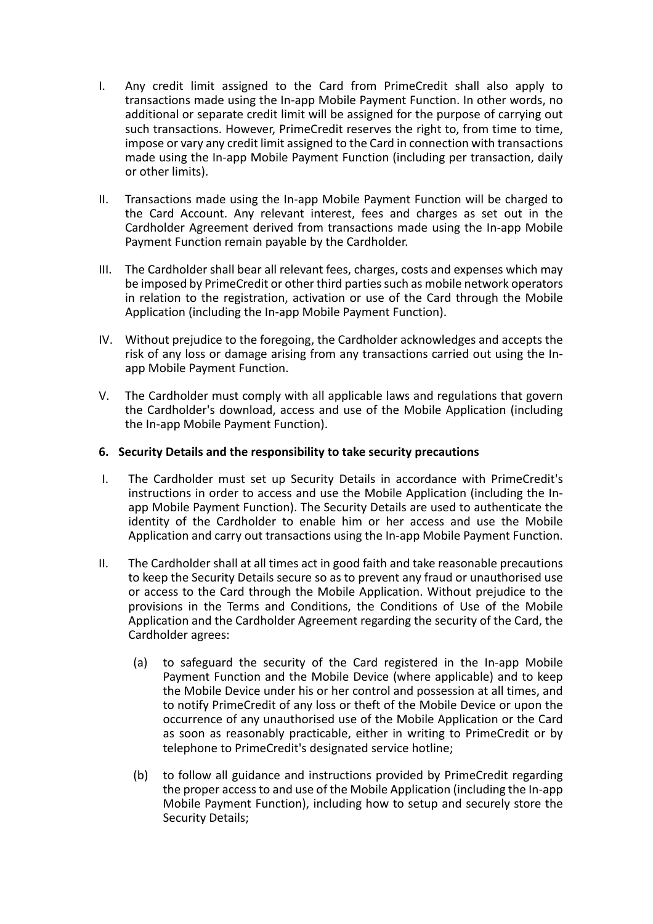- I. Any credit limit assigned to the Card from PrimeCredit shall also apply to transactions made using the In-app Mobile Payment Function. In other words, no additional or separate credit limit will be assigned for the purpose of carrying out such transactions. However, PrimeCredit reserves the right to, from time to time, impose or vary any credit limit assigned to the Card in connection with transactions made using the In-app Mobile Payment Function (including per transaction, daily or other limits).
- II. Transactions made using the In-app Mobile Payment Function will be charged to the Card Account. Any relevant interest, fees and charges as set out in the Cardholder Agreement derived from transactions made using the In-app Mobile Payment Function remain payable by the Cardholder.
- III. The Cardholder shall bear all relevant fees, charges, costs and expenses which may be imposed by PrimeCredit or other third parties such as mobile network operators in relation to the registration, activation or use of the Card through the Mobile Application (including the In-app Mobile Payment Function).
- IV. Without prejudice to the foregoing, the Cardholder acknowledges and accepts the risk of any loss or damage arising from any transactions carried out using the Inapp Mobile Payment Function.
- V. The Cardholder must comply with all applicable laws and regulations that govern the Cardholder's download, access and use of the Mobile Application (including the In-app Mobile Payment Function).

### **6. Security Details and the responsibility to take security precautions**

- I. The Cardholder must set up Security Details in accordance with PrimeCredit's instructions in order to access and use the Mobile Application (including the Inapp Mobile Payment Function). The Security Details are used to authenticate the identity of the Cardholder to enable him or her access and use the Mobile Application and carry out transactions using the In-app Mobile Payment Function.
- II. The Cardholder shall at all times act in good faith and take reasonable precautions to keep the Security Details secure so as to prevent any fraud or unauthorised use or access to the Card through the Mobile Application. Without prejudice to the provisions in the Terms and Conditions, the Conditions of Use of the Mobile Application and the Cardholder Agreement regarding the security of the Card, the Cardholder agrees:
	- (a) to safeguard the security of the Card registered in the In-app Mobile Payment Function and the Mobile Device (where applicable) and to keep the Mobile Device under his or her control and possession at all times, and to notify PrimeCredit of any loss or theft of the Mobile Device or upon the occurrence of any unauthorised use of the Mobile Application or the Card as soon as reasonably practicable, either in writing to PrimeCredit or by telephone to PrimeCredit's designated service hotline;
	- (b) to follow all guidance and instructions provided by PrimeCredit regarding the proper access to and use of the Mobile Application (including the In-app Mobile Payment Function), including how to setup and securely store the Security Details;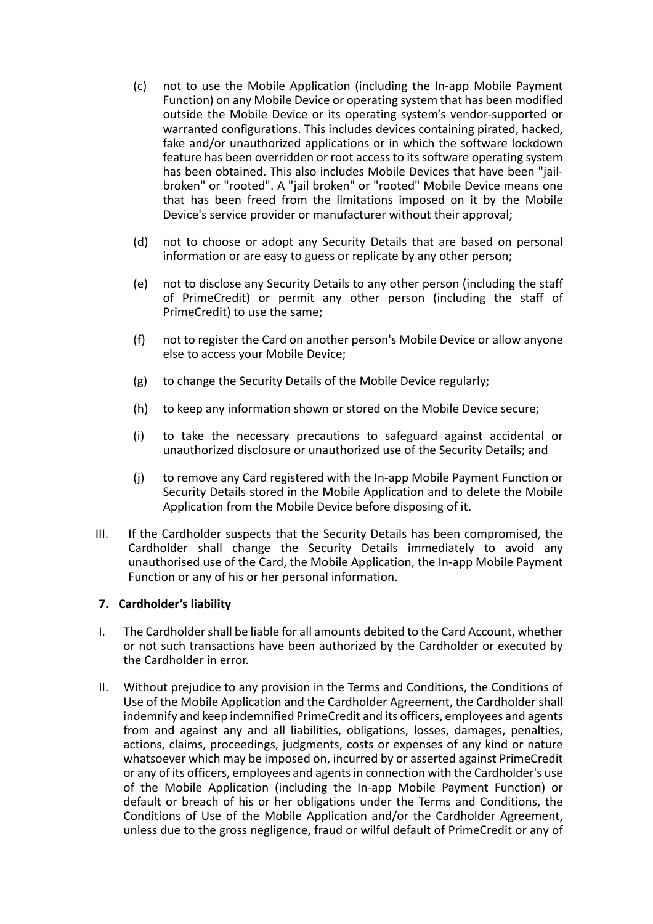- (c) not to use the Mobile Application (including the In-app Mobile Payment Function) on any Mobile Device or operating system that has been modified outside the Mobile Device or its operating system's vendor-supported or warranted configurations. This includes devices containing pirated, hacked, fake and/or unauthorized applications or in which the software lockdown feature has been overridden or root access to its software operating system has been obtained. This also includes Mobile Devices that have been "jailbroken" or "rooted". A "jail broken" or "rooted" Mobile Device means one that has been freed from the limitations imposed on it by the Mobile Device's service provider or manufacturer without their approval;
- (d) not to choose or adopt any Security Details that are based on personal information or are easy to guess or replicate by any other person;
- (e) not to disclose any Security Details to any other person (including the staff of PrimeCredit) or permit any other person (including the staff of PrimeCredit) to use the same;
- (f) not to register the Card on another person's Mobile Device or allow anyone else to access your Mobile Device;
- (g) to change the Security Details of the Mobile Device regularly;
- (h) to keep any information shown or stored on the Mobile Device secure;
- (i) to take the necessary precautions to safeguard against accidental or unauthorized disclosure or unauthorized use of the Security Details; and
- (j) to remove any Card registered with the In-app Mobile Payment Function or Security Details stored in the Mobile Application and to delete the Mobile Application from the Mobile Device before disposing of it.
- III. If the Cardholder suspects that the Security Details has been compromised, the Cardholder shall change the Security Details immediately to avoid any unauthorised use of the Card, the Mobile Application, the In-app Mobile Payment Function or any of his or her personal information.

#### **7. Cardholder's liability**

- I. The Cardholder shall be liable for all amounts debited to the Card Account, whether or not such transactions have been authorized by the Cardholder or executed by the Cardholder in error.
- II. Without prejudice to any provision in the Terms and Conditions, the Conditions of Use of the Mobile Application and the Cardholder Agreement, the Cardholder shall indemnify and keep indemnified PrimeCredit and its officers, employees and agents from and against any and all liabilities, obligations, losses, damages, penalties, actions, claims, proceedings, judgments, costs or expenses of any kind or nature whatsoever which may be imposed on, incurred by or asserted against PrimeCredit or any of its officers, employees and agents in connection with the Cardholder's use of the Mobile Application (including the In-app Mobile Payment Function) or default or breach of his or her obligations under the Terms and Conditions, the Conditions of Use of the Mobile Application and/or the Cardholder Agreement, unless due to the gross negligence, fraud or wilful default of PrimeCredit or any of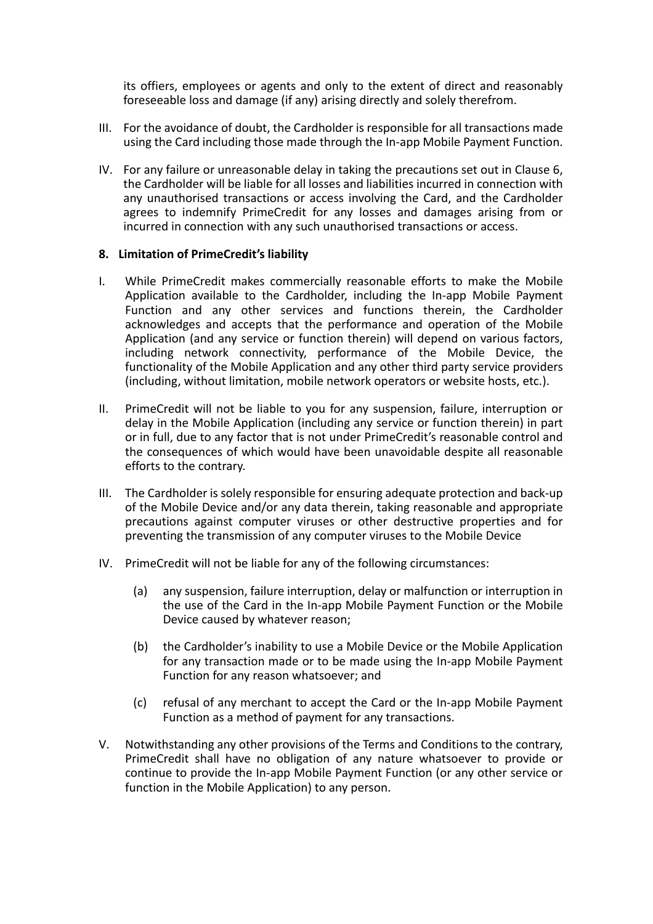its offiers, employees or agents and only to the extent of direct and reasonably foreseeable loss and damage (if any) arising directly and solely therefrom.

- III. For the avoidance of doubt, the Cardholder is responsible for all transactions made using the Card including those made through the In-app Mobile Payment Function.
- IV. For any failure or unreasonable delay in taking the precautions set out in Clause 6, the Cardholder will be liable for all losses and liabilities incurred in connection with any unauthorised transactions or access involving the Card, and the Cardholder agrees to indemnify PrimeCredit for any losses and damages arising from or incurred in connection with any such unauthorised transactions or access.

### **8. Limitation of PrimeCredit's liability**

- I. While PrimeCredit makes commercially reasonable efforts to make the Mobile Application available to the Cardholder, including the In-app Mobile Payment Function and any other services and functions therein, the Cardholder acknowledges and accepts that the performance and operation of the Mobile Application (and any service or function therein) will depend on various factors, including network connectivity, performance of the Mobile Device, the functionality of the Mobile Application and any other third party service providers (including, without limitation, mobile network operators or website hosts, etc.).
- II. PrimeCredit will not be liable to you for any suspension, failure, interruption or delay in the Mobile Application (including any service or function therein) in part or in full, due to any factor that is not under PrimeCredit's reasonable control and the consequences of which would have been unavoidable despite all reasonable efforts to the contrary.
- III. The Cardholder is solely responsible for ensuring adequate protection and back-up of the Mobile Device and/or any data therein, taking reasonable and appropriate precautions against computer viruses or other destructive properties and for preventing the transmission of any computer viruses to the Mobile Device
- IV. PrimeCredit will not be liable for any of the following circumstances:
	- (a) any suspension, failure interruption, delay or malfunction or interruption in the use of the Card in the In-app Mobile Payment Function or the Mobile Device caused by whatever reason;
	- (b) the Cardholder's inability to use a Mobile Device or the Mobile Application for any transaction made or to be made using the In-app Mobile Payment Function for any reason whatsoever; and
	- (c) refusal of any merchant to accept the Card or the In-app Mobile Payment Function as a method of payment for any transactions.
- V. Notwithstanding any other provisions of the Terms and Conditions to the contrary, PrimeCredit shall have no obligation of any nature whatsoever to provide or continue to provide the In-app Mobile Payment Function (or any other service or function in the Mobile Application) to any person.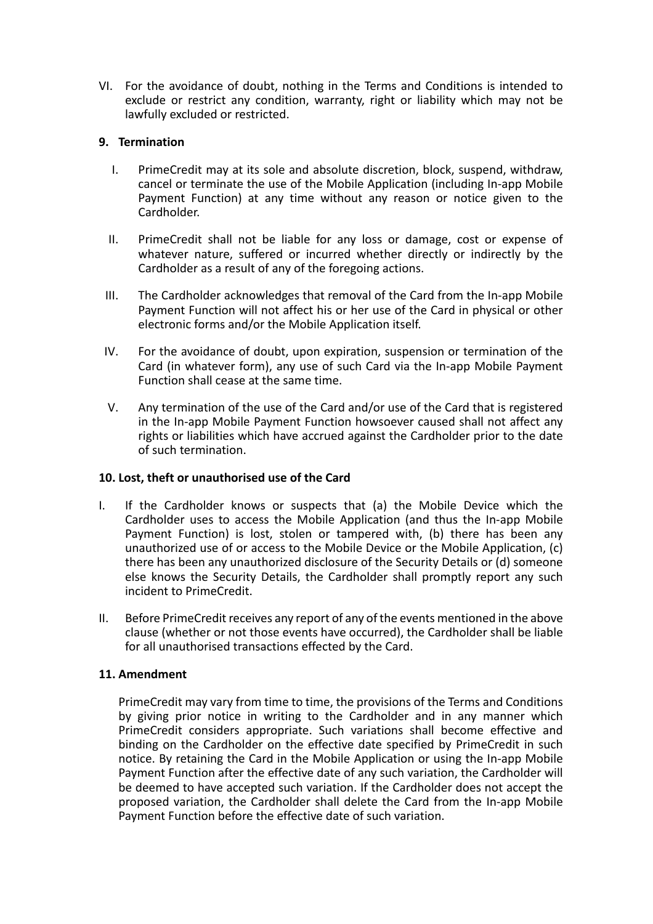VI. For the avoidance of doubt, nothing in the Terms and Conditions is intended to exclude or restrict any condition, warranty, right or liability which may not be lawfully excluded or restricted.

## **9. Termination**

- I. PrimeCredit may at its sole and absolute discretion, block, suspend, withdraw, cancel or terminate the use of the Mobile Application (including In-app Mobile Payment Function) at any time without any reason or notice given to the Cardholder.
- II. PrimeCredit shall not be liable for any loss or damage, cost or expense of whatever nature, suffered or incurred whether directly or indirectly by the Cardholder as a result of any of the foregoing actions.
- III. The Cardholder acknowledges that removal of the Card from the In-app Mobile Payment Function will not affect his or her use of the Card in physical or other electronic forms and/or the Mobile Application itself.
- IV. For the avoidance of doubt, upon expiration, suspension or termination of the Card (in whatever form), any use of such Card via the In-app Mobile Payment Function shall cease at the same time.
- V. Any termination of the use of the Card and/or use of the Card that is registered in the In-app Mobile Payment Function howsoever caused shall not affect any rights or liabilities which have accrued against the Cardholder prior to the date of such termination.

## **10. Lost, theft or unauthorised use of the Card**

- I. If the Cardholder knows or suspects that (a) the Mobile Device which the Cardholder uses to access the Mobile Application (and thus the In-app Mobile Payment Function) is lost, stolen or tampered with, (b) there has been any unauthorized use of or access to the Mobile Device or the Mobile Application, (c) there has been any unauthorized disclosure of the Security Details or (d) someone else knows the Security Details, the Cardholder shall promptly report any such incident to PrimeCredit.
- II. Before PrimeCredit receives any report of any of the events mentioned in the above clause (whether or not those events have occurred), the Cardholder shall be liable for all unauthorised transactions effected by the Card.

## **11. Amendment**

PrimeCredit may vary from time to time, the provisions of the Terms and Conditions by giving prior notice in writing to the Cardholder and in any manner which PrimeCredit considers appropriate. Such variations shall become effective and binding on the Cardholder on the effective date specified by PrimeCredit in such notice. By retaining the Card in the Mobile Application or using the In-app Mobile Payment Function after the effective date of any such variation, the Cardholder will be deemed to have accepted such variation. If the Cardholder does not accept the proposed variation, the Cardholder shall delete the Card from the In-app Mobile Payment Function before the effective date of such variation.